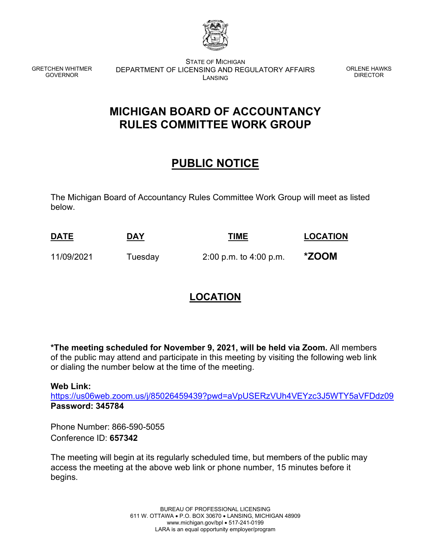

GRETCHEN WHITMER GOVERNOR

STATE OF MICHIGAN DEPARTMENT OF LICENSING AND REGULATORY AFFAIRS LANSING

ORLENE HAWKS DIRECTOR

## **MICHIGAN BOARD OF ACCOUNTANCY RULES COMMITTEE WORK GROUP**

## **PUBLIC NOTICE**

The Michigan Board of Accountancy Rules Committee Work Group will meet as listed below.

| <b>DATE</b> | <b>DAY</b>               | <b>TIME</b>                                     | <b>LOCATION</b> |
|-------------|--------------------------|-------------------------------------------------|-----------------|
| ______      | $\overline{\phantom{a}}$ | the contract of the contract of the contract of |                 |
| 11/09/2021  | Tuesday                  | $2:00$ p.m. to $4:00$ p.m.                      | *ZOOM           |

## **LOCATION**

**\*The meeting scheduled for November 9, 2021, will be held via Zoom.** All members of the public may attend and participate in this meeting by visiting the following web link or dialing the number below at the time of the meeting.

**Web Link:**

<https://us06web.zoom.us/j/85026459439?pwd=aVpUSERzVUh4VEYzc3J5WTY5aVFDdz09> **Password: 345784**

Phone Number: 866-590-5055 Conference ID: **657342**

The meeting will begin at its regularly scheduled time, but members of the public may access the meeting at the above web link or phone number, 15 minutes before it begins.

> BUREAU OF PROFESSIONAL LICENSING 611 W. OTTAWA • P.O. BOX 30670 • LANSING, MICHIGAN 48909 www.michigan.gov/bpl • 517-241-0199 LARA is an equal opportunity employer/program